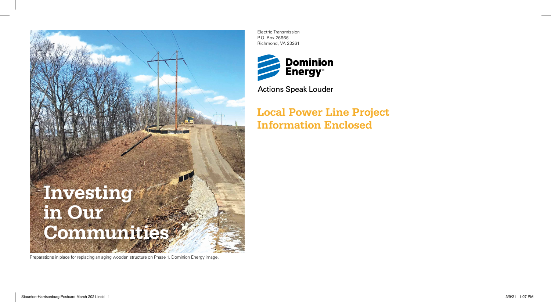

Preparations in place for replacing an aging wooden structure on Phase 1. Dominion Energy image.

Electric Transmission P.O. Box 26666 Richmond, VA 23261



**Actions Speak Louder** 

**Local Power Line Project Information Enclosed**